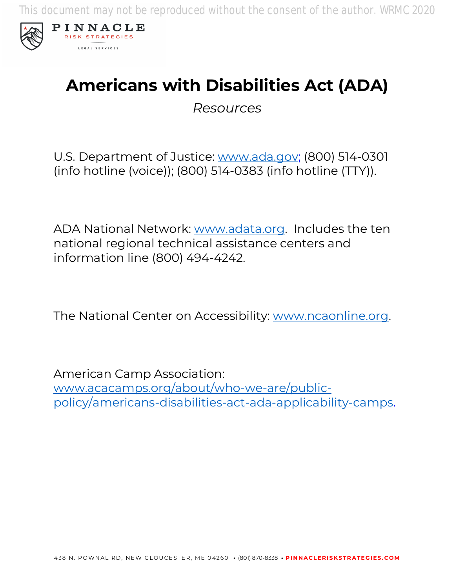This document may not be reproduced without the consent of the author. WRMC 2020



# **Americans with Disabilities Act (ADA)**

*Resources*

U.S. Department of Justice: www.ada.gov; (800) 514-0301 (info hotline (voice)); (800) 514-0383 (info hotline (TTY)).

ADA National Network: www.adata.org. Includes the ten national regional technical assistance centers and information line (800) 494-4242.

The National Center on Accessibility: www.ncaonline.org.

American Camp Association: www.acacamps.org/about/who-we-are/publicpolicy/americans-disabilities-act-ada-applicability-camps.